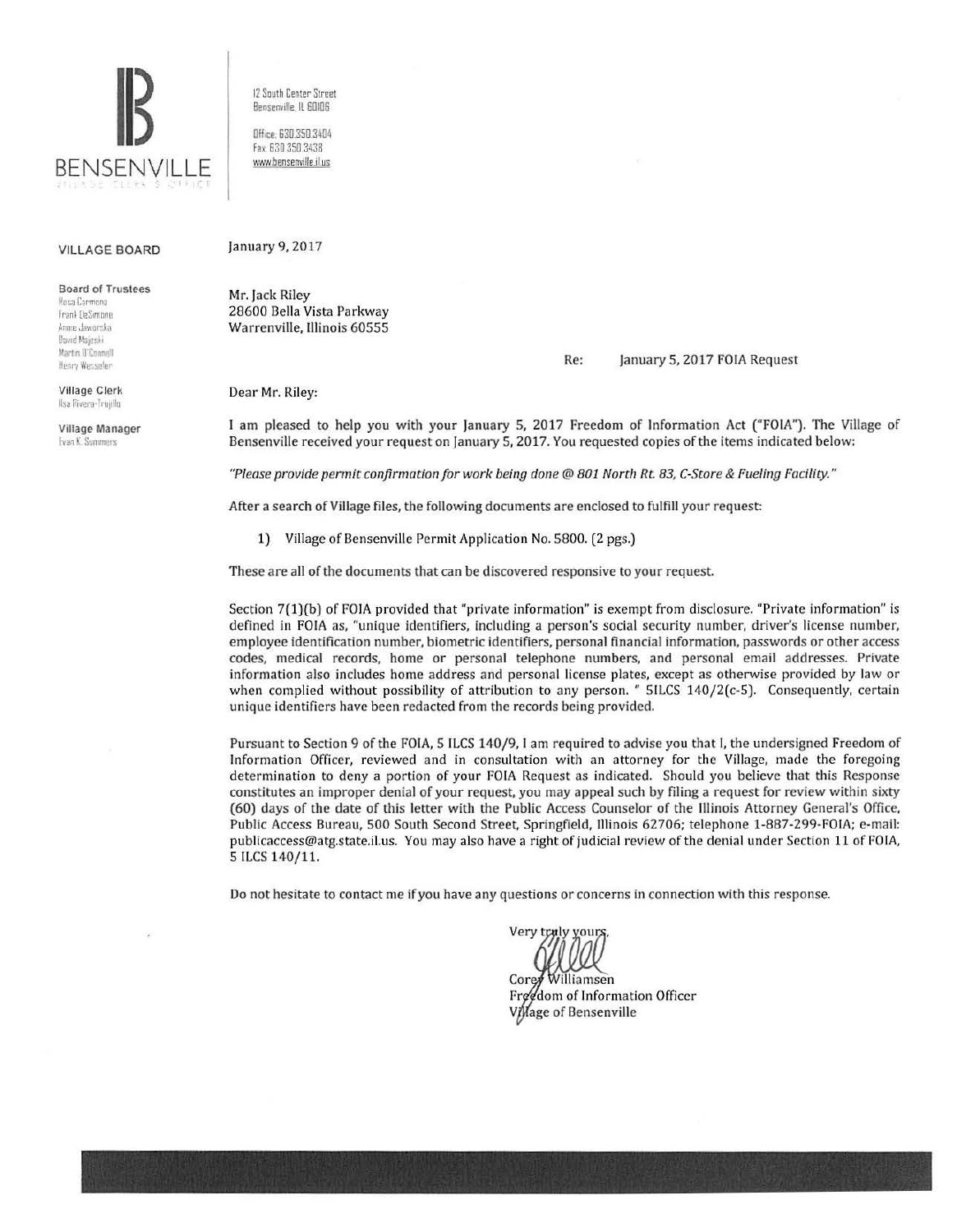

VILLAGE BOARD

Board of Trustees

Rosa Carmona Frank DeSimone Annie Jaworska **David Majeski** Martin il'Enonyill Henry Wesseler

Village Clerk Ilsa Rivera-Trujillo

Village Manager **Evan K: Summers** 

12 South Center Street Benserwille, IL 60106

Office. 630.350.3404 fax 630 350 3438 www.bensenville.il.us

January 9, 2017

Mr. Jack Riley 28600 Bella Vista Parkway Warrenville, Illinois 60555

## Re: January 5, 2017 FOIA Request

Dear Mr. Riley:

I am pleased to help you with your January 5, 2017 Freedom of Information Act ("FOIA"). The Village of Bensenville received your request on January 5, 2017. You requested copies of the items indicated below:

*"Please provide permit confirmation for work being done@ 801 North Rt 83, C-Store* & *Fueling Facility."* 

After a search of Village files, the following documents are enclosed to fulfill your request:

1) Village of Bensenville Permit Application No. 5800. (2 pgs.)

These are all of the documents that can be discovered responsive to your request

Section 7(1)(b) of FOIA provided that "private information" is exempt from disclosure. "Private information" is defined in FOIA as, "unique identifiers, including a person's social security number, driver's license number, employee identification number, biometric identifiers, personal financial information, passwords or other access codes, medical records, home or personal telephone numbers, and personal email addresses. Private information also includes home address and personal license plates, except as otherwise provided by law or when complied without possibility of attribution to any person. " 51LCS 140/2(c-5). Consequently, certain unique identifiers have been redacted from the records being provided.

Pursuant to Section 9 of the FOIA, 5 ILCS 140/9, I am required to advise you that I, the undersigned Freedom of Information Officer, reviewed and in consultation with an attorney for the Village, made the foregoing determination to deny a portion of your FOIA Request as indicated. Should you believe that this Response constitutes an improper denial of your request, you may appeal such by filing a request for review within sixty (60) days of the date of this letter with the Public Access Counselor of the Illinois Attorney General's Office, Public Access Bureau, 500 South Second Street, Springfield, 111inois 62706; telephone 1-887-299-FOIA; e-mail: publicaccess@atg.state.il.us. You may also have a right of judicial review of the denial under Section 11 of FOIA, 5 ILCS 140/11.

Do not hesitate to contact me if you have any questions or concerns in connection with this response.

Very truly your; Corey Williamsen

Freedom of Information Officer Village of Bensenville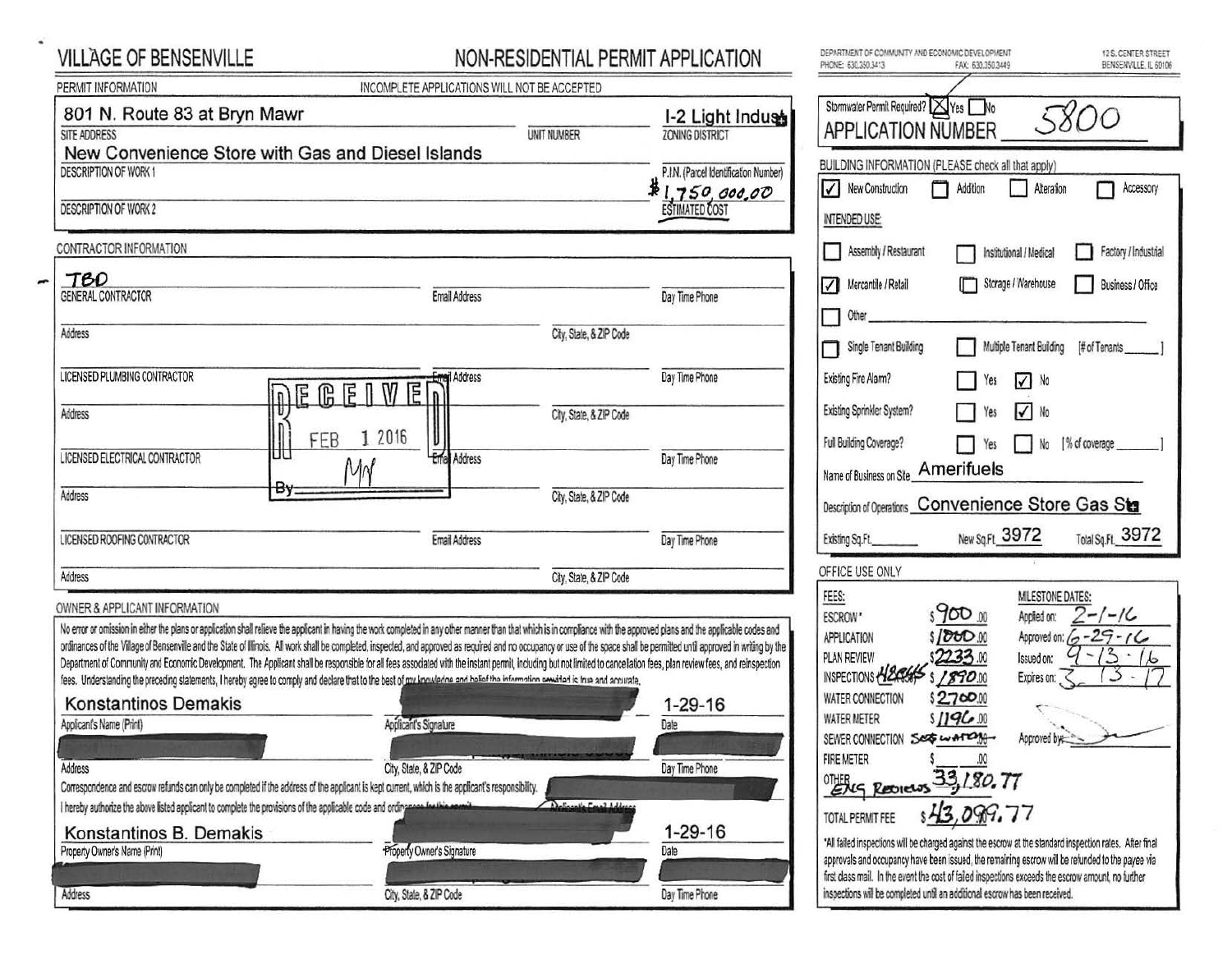## VILLAGE OF BENSENVILLE

 $\overline{a}$ 

## NON-RESIDENTIAL PERMIT APPLICATION

| PERMIT INFORMATION                                                                                                                                                                                                                                                                                                                                                                                                                                                                                                                                                                                                                                                                                                                                                                                                                                                                                        | INCOMPLETE APPLICATIONS WILL NOT BE ACCEPTED |                         |                                                       |                                                                                                                                                                                                                                              |                                           |                                                                                   |
|-----------------------------------------------------------------------------------------------------------------------------------------------------------------------------------------------------------------------------------------------------------------------------------------------------------------------------------------------------------------------------------------------------------------------------------------------------------------------------------------------------------------------------------------------------------------------------------------------------------------------------------------------------------------------------------------------------------------------------------------------------------------------------------------------------------------------------------------------------------------------------------------------------------|----------------------------------------------|-------------------------|-------------------------------------------------------|----------------------------------------------------------------------------------------------------------------------------------------------------------------------------------------------------------------------------------------------|-------------------------------------------|-----------------------------------------------------------------------------------|
| 801 N. Route 83 at Bryn Mawr<br>SITE ADDRESS                                                                                                                                                                                                                                                                                                                                                                                                                                                                                                                                                                                                                                                                                                                                                                                                                                                              |                                              | <b>UNIT NUMBER</b>      | I-2 Light Indust<br><b>ZONING DISTRICT</b>            | Stormwater Permit Required? XYes No<br><b>APPLICATION NUMBER</b>                                                                                                                                                                             |                                           | 58                                                                                |
| New Convenience Store with Gas and Diesel Islands<br><b>DESCRIPTION OF WORK 1</b>                                                                                                                                                                                                                                                                                                                                                                                                                                                                                                                                                                                                                                                                                                                                                                                                                         |                                              |                         | P.I.N. (Parcel Identification Number)<br>1.750,000,00 | BUILDING INFORMATION (PLEASE check all that apply)<br>V New Construction<br>П                                                                                                                                                                | Addition                                  | Alteration                                                                        |
| <b>DESCRIPTION OF WORK 2</b>                                                                                                                                                                                                                                                                                                                                                                                                                                                                                                                                                                                                                                                                                                                                                                                                                                                                              |                                              |                         | <b>ESTIMATED COST</b>                                 | INTENDED USE:                                                                                                                                                                                                                                |                                           |                                                                                   |
| CONTRACTOR INFORMATION                                                                                                                                                                                                                                                                                                                                                                                                                                                                                                                                                                                                                                                                                                                                                                                                                                                                                    |                                              |                         |                                                       | Assembly / Restaurant                                                                                                                                                                                                                        |                                           | Institutional / Medical                                                           |
| <b>TBD</b><br>GENERAL CONTRACTOR                                                                                                                                                                                                                                                                                                                                                                                                                                                                                                                                                                                                                                                                                                                                                                                                                                                                          | <b>Email Address</b>                         |                         | Day Time Phone                                        | Mercantile / Retail<br>$\checkmark$<br>Other                                                                                                                                                                                                 |                                           | Storage / Warehouse                                                               |
| Address                                                                                                                                                                                                                                                                                                                                                                                                                                                                                                                                                                                                                                                                                                                                                                                                                                                                                                   |                                              | City, State, & ZIP Code |                                                       | Single Tenant Building                                                                                                                                                                                                                       |                                           | Multiple Tenant Building                                                          |
| LICENSED PLUMBING CONTRACTOR                                                                                                                                                                                                                                                                                                                                                                                                                                                                                                                                                                                                                                                                                                                                                                                                                                                                              | Address<br><b>MEGEIW</b><br>E                |                         | Day Time Phone                                        | Existing Fire Alarm?                                                                                                                                                                                                                         | Yes                                       | $\sqrt{ }$ No                                                                     |
| Address                                                                                                                                                                                                                                                                                                                                                                                                                                                                                                                                                                                                                                                                                                                                                                                                                                                                                                   | $\mathsf{n}$<br>2016                         | City, State, & ZIP Code |                                                       | Existing Sprinkler System?                                                                                                                                                                                                                   |                                           | $\sqrt{N_0}$                                                                      |
| Ш<br>LICENSED ELECTRICAL CONTRACTOR                                                                                                                                                                                                                                                                                                                                                                                                                                                                                                                                                                                                                                                                                                                                                                                                                                                                       | 1<br>FEB<br><b>Ema</b> Address<br>MN         |                         | Day Time Phone                                        | Full Building Coverage?<br>Name of Business on Site_Amerifuels                                                                                                                                                                               |                                           | No [%                                                                             |
| Вy<br>Address                                                                                                                                                                                                                                                                                                                                                                                                                                                                                                                                                                                                                                                                                                                                                                                                                                                                                             |                                              | City, State, & ZIP Code |                                                       | Description of Operations Convenience Store                                                                                                                                                                                                  |                                           |                                                                                   |
| LICENSED ROOFING CONTRACTOR                                                                                                                                                                                                                                                                                                                                                                                                                                                                                                                                                                                                                                                                                                                                                                                                                                                                               | Email Address                                |                         | Day Time Phone                                        | Existing Sq.Ft.                                                                                                                                                                                                                              | New Sq.Ft. 3972                           |                                                                                   |
| Address                                                                                                                                                                                                                                                                                                                                                                                                                                                                                                                                                                                                                                                                                                                                                                                                                                                                                                   |                                              | City, State, & ZIP Code |                                                       | OFFICE USE ONLY                                                                                                                                                                                                                              |                                           |                                                                                   |
| OWNER & APPLICANT INFORMATION<br>No error or omission in either the plans or application shall relieve the applicant in having the work completed in any other manner than that which is in compliance with the approved plans and the applicable codes and<br>ordinances of the Village of Bensenville and the State of Illinois. All work shall be completed, inspected, and approved as required and no occupancy or use of the space shall be permitted until approved in writing by the<br>Department of Community and Economic Development. The Applicant shall be responsible for all fees associated with the instant permit, including but not limited to cancellation fees, plan review fees, and reinspection<br>fees. Understanding the preceding statements, I hereby agree to comply and declare that to the best of my knowledne and belief the information provided is true and accurate. |                                              |                         |                                                       | FEES:<br>ESCROW <sup>*</sup><br>APPLICATION<br>PLAN REVIEW<br>INSPECTIONS HELESSES                                                                                                                                                           | s900 .00<br>\$/000m<br>2233.00<br>1890.00 | MILESTONE DA<br>Applied on:<br>Approved on: 6<br>Issued on:<br>Expires on: $\leq$ |
| <b>Konstantinos Demakis</b><br>Applicant's Name (Print)                                                                                                                                                                                                                                                                                                                                                                                                                                                                                                                                                                                                                                                                                                                                                                                                                                                   | Applicant's Signature                        |                         | 1-29-16<br>Date                                       | WATER CONNECTION<br><b>WATER METER</b><br>SEWER CONNECTION                                                                                                                                                                                   | \$2700.00<br>\$1196.00<br>SEGWATON        | Approved by                                                                       |
| Address<br>Correspondence and escrow refunds can only be completed if the address of the applicant is kept current, which is the applicant's responsibility.                                                                                                                                                                                                                                                                                                                                                                                                                                                                                                                                                                                                                                                                                                                                              | City, State, & ZIP Code                      |                         | Day Time Phone                                        | <b>FIRE METER</b><br>Ehrg Reviews 33, 180.77                                                                                                                                                                                                 |                                           |                                                                                   |
| I hereby authorize the above listed applicant to complete the provisions of the applicable code and ordingness for this commi-                                                                                                                                                                                                                                                                                                                                                                                                                                                                                                                                                                                                                                                                                                                                                                            |                                              | Actionale Email Address |                                                       | TOTAL PERMIT FEE                                                                                                                                                                                                                             | \$43,099.77                               |                                                                                   |
| Konstantinos B. Demakis<br>Property Owner's Name (Print)                                                                                                                                                                                                                                                                                                                                                                                                                                                                                                                                                                                                                                                                                                                                                                                                                                                  | Properly Owner's Signature                   |                         | $1 - 29 - 16$<br>Date                                 | *All failed inspections will be charged against the escrow at the standard in<br>approvals and occupancy have been issued, the remaining escrow will be r<br>first class mail. In the event the cost of failed inspections exceeds the escri |                                           |                                                                                   |
| Address                                                                                                                                                                                                                                                                                                                                                                                                                                                                                                                                                                                                                                                                                                                                                                                                                                                                                                   | City, State, & ZIP Code                      |                         | Day Time Phone                                        | inspections will be completed until an additional escrow has been received.                                                                                                                                                                  |                                           |                                                                                   |

| Stormwater Permit Required? X Yes No<br><b>APPLICATION NUMBER</b> |                               |                             | 5800                 |
|-------------------------------------------------------------------|-------------------------------|-----------------------------|----------------------|
| BUILDING INFORMATION (PLEASE check all that apply)                |                               |                             |                      |
| $\vert \langle \vert$<br>New Construction                         | Addition                      | Alteration                  | Accessory            |
| INTENDED USE:                                                     |                               |                             |                      |
|                                                                   |                               |                             |                      |
| Assembly / Restaurant                                             |                               | Institutional / Medical     | Factory / Industrial |
| Mercantile / Retail<br>$\checkmark$                               |                               | Storage / Warehouse         | Business / Office    |
| Other                                                             |                               |                             |                      |
|                                                                   |                               |                             |                      |
| Single Tenant Building                                            |                               | Multiple Tenant Building    | # of Tenants         |
| Existing Fire Alarm?                                              | Yes                           | No<br>VI                    |                      |
| Existing Sprinkler System?                                        | Yes                           | $\vert\!\vert\!\vert$<br>No |                      |
|                                                                   |                               |                             |                      |
| Full Building Coverage?                                           | Yes                           | No                          | [% of coverage       |
|                                                                   |                               |                             |                      |
| Name of Business on Site <b>Amerifuels</b>                        |                               |                             |                      |
|                                                                   |                               |                             |                      |
| Description of Operations Convenience Store Gas Sta               |                               |                             |                      |
| Existing Sq.Ft.                                                   | New Sq.Ft_3972                |                             | Total Sq.Ft. 3972    |
| OFFICE USE ONLY                                                   |                               |                             |                      |
| FEES:                                                             |                               | <b>MILESTONE DATES:</b>     |                      |
| <b>ESCROW</b> *                                                   | $s\,900$ 00                   | Applied on:                 | -/-/6                |
| <b>APPLICATION</b>                                                | \$1000.00                     | Approved on: 6              |                      |
| PLAN REVIEW                                                       | \$2233.00                     | Issued on:                  |                      |
| INSPECTIONS                                                       | \$1890.00                     | Expires on:                 |                      |
| WATER CONNECTION                                                  | \$2700.00                     |                             |                      |
|                                                                   | \$1196.00                     |                             |                      |
|                                                                   | SEGWATOM                      | Approved by                 |                      |
| <b>WATER METER</b><br>SEWER CONNECTION<br><b>FIRE METER</b>       |                               |                             |                      |
| OTHER<br>Returnes                                                 | 00<br>33,180.77<br>sH3,099.77 |                             |                      |